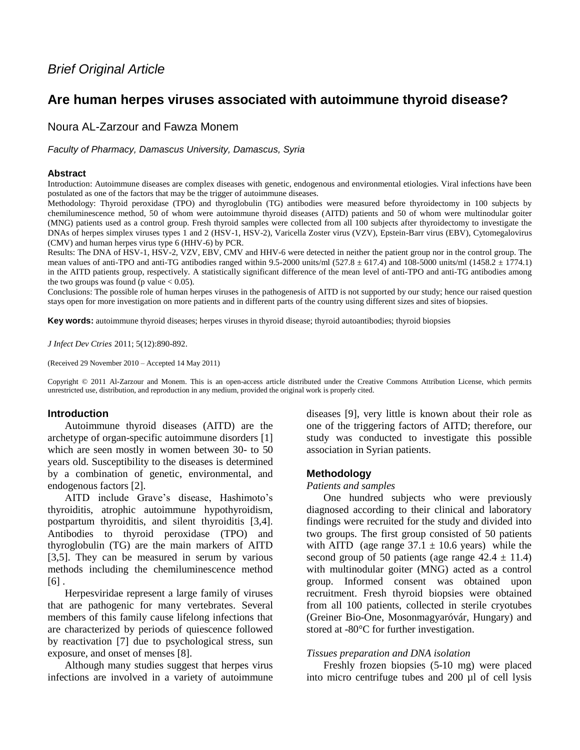# *Brief Original Article*

## **Are human herpes viruses associated with autoimmune thyroid disease?**

## Noura AL-Zarzour and Fawza Monem

*Faculty of Pharmacy, Damascus University, Damascus, Syria*

#### **Abstract**

Introduction: Autoimmune diseases are complex diseases with genetic, endogenous and environmental etiologies. Viral infections have been postulated as one of the factors that may be the trigger of autoimmune diseases.

Methodology: Thyroid peroxidase (TPO) and thyroglobulin (TG) antibodies were measured before thyroidectomy in 100 subjects by chemiluminescence method, 50 of whom were autoimmune thyroid diseases (AITD) patients and 50 of whom were multinodular goiter (MNG) patients used as a control group. Fresh thyroid samples were collected from all 100 subjects after thyroidectomy to investigate the DNAs of herpes simplex viruses types 1 and 2 (HSV-1, HSV-2), Varicella Zoster virus (VZV), Epstein-Barr virus (EBV), Cytomegalovirus (CMV) and human herpes virus type 6 (HHV-6) by PCR.

Results: The DNA of HSV-1, HSV-2, VZV, EBV, CMV and HHV-6 were detected in neither the patient group nor in the control group. The mean values of anti-TPO and anti-TG antibodies ranged within 9.5-2000 units/ml (527.8  $\pm$  617.4) and 108-5000 units/ml (1458.2  $\pm$  1774.1) in the AITD patients group, respectively. A statistically significant difference of the mean level of anti-TPO and anti-TG antibodies among the two groups was found (p value  $< 0.05$ ).

Conclusions: The possible role of human herpes viruses in the pathogenesis of AITD is not supported by our study; hence our raised question stays open for more investigation on more patients and in different parts of the country using different sizes and sites of biopsies.

**Key words:** autoimmune thyroid diseases; herpes viruses in thyroid disease; thyroid autoantibodies; thyroid biopsies

*J Infect Dev Ctries* 2011; 5(12):890-892.

(Received 29 November 2010 – Accepted 14 May 2011)

Copyright © 2011 Al-Zarzour and Monem. This is an open-access article distributed under the Creative Commons Attribution License, which permits unrestricted use, distribution, and reproduction in any medium, provided the original work is properly cited.

#### **Introduction**

Autoimmune thyroid diseases (AITD) are the archetype of organ-specific autoimmune disorders [1] which are seen mostly in women between 30- to 50 years old. Susceptibility to the diseases is determined by a combination of genetic, environmental, and endogenous factors [2].

AITD include Grave's disease, Hashimoto's thyroiditis, atrophic autoimmune hypothyroidism, postpartum thyroiditis, and silent thyroiditis [3,4]. Antibodies to thyroid peroxidase (TPO) and thyroglobulin (TG) are the main markers of AITD [3,5]. They can be measured in serum by various methods including the chemiluminescence method  $[6]$ .

Herpesviridae represent a large family of viruses that are pathogenic for many vertebrates. Several members of this family cause lifelong infections that are characterized by periods of quiescence followed by reactivation [7] due to psychological stress, sun exposure, and onset of menses [8].

Although many studies suggest that herpes virus infections are involved in a variety of autoimmune diseases [9], very little is known about their role as one of the triggering factors of AITD; therefore, our study was conducted to investigate this possible association in Syrian patients.

### **Methodology**

#### *Patients and samples*

One hundred subjects who were previously diagnosed according to their clinical and laboratory findings were recruited for the study and divided into two groups. The first group consisted of 50 patients with AITD (age range  $37.1 \pm 10.6$  years) while the second group of 50 patients (age range  $42.4 \pm 11.4$ ) with multinodular goiter (MNG) acted as a control group. Informed consent was obtained upon recruitment. Fresh thyroid biopsies were obtained from all 100 patients, collected in sterile cryotubes (Greiner Bio-One, Mosonmagyaróvár, Hungary) and stored at -80°C for further investigation.

#### *Tissues preparation and DNA isolation*

Freshly frozen biopsies (5-10 mg) were placed into micro centrifuge tubes and 200 µl of cell lysis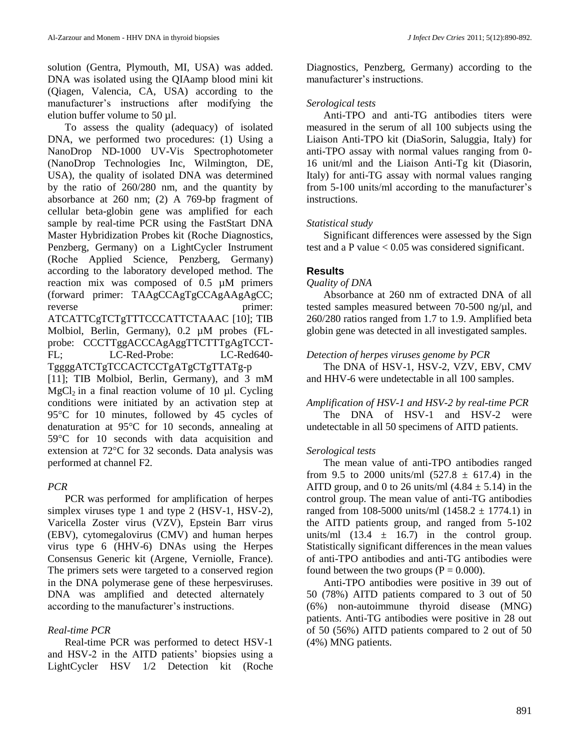solution (Gentra, Plymouth, MI, USA) was added. DNA was isolated using the QIAamp blood mini kit (Qiagen, Valencia, CA, USA) according to the manufacturer's instructions after modifying the elution buffer volume to 50 µl.

To assess the quality (adequacy) of isolated DNA, we performed two procedures: (1) Using a NanoDrop ND-1000 UV-Vis Spectrophotometer (NanoDrop Technologies Inc, Wilmington, DE, USA), the quality of isolated DNA was determined by the ratio of 260/280 nm, and the quantity by absorbance at 260 nm; (2) A 769-bp fragment of cellular beta-globin gene was amplified for each sample by real-time PCR using the FastStart DNA Master Hybridization Probes kit (Roche Diagnostics, Penzberg, Germany) on a LightCycler Instrument (Roche Applied Science, Penzberg, Germany) according to the laboratory developed method. The reaction mix was composed of 0.5 µM primers (forward primer: TAAgCCAgTgCCAgAAgAgCC; reverse primer: ATCATTCgTCTgTTTCCCATTCTAAAC [10]; TIB Molbiol, Berlin, Germany), 0.2 µM probes (FLprobe: CCCTTggACCCAgAggTTCTTTgAgTCCT-FL; LC-Red-Probe: LC-Red640- TggggATCTgTCCACTCCTgATgCTgTTATg-p [11]; TIB Molbiol, Berlin, Germany), and 3 mM  $MgCl<sub>2</sub>$  in a final reaction volume of 10 µl. Cycling conditions were initiated by an activation step at 95°C for 10 minutes, followed by 45 cycles of

denaturation at 95°C for 10 seconds, annealing at 59°C for 10 seconds with data acquisition and extension at 72°C for 32 seconds. Data analysis was performed at channel F2.

## *PCR*

PCR was performed for amplification of herpes simplex viruses type 1 and type 2 (HSV-1, HSV-2), Varicella Zoster virus (VZV), Epstein Barr virus (EBV), cytomegalovirus (CMV) and human herpes virus type 6 (HHV-6) DNAs using the Herpes Consensus Generic kit (Argene, Verniolle, France). The primers sets were targeted to a conserved region in the DNA polymerase gene of these herpesviruses. DNA was amplified and detected alternately according to the manufacturer's instructions.

## *Real-time PCR*

Real-time PCR was performed to detect HSV-1 and HSV-2 in the AITD patients' biopsies using a LightCycler HSV 1/2 Detection kit (Roche

Diagnostics, Penzberg, Germany) according to the manufacturer's instructions.

### *Serological tests*

Anti-TPO and anti-TG antibodies titers were measured in the serum of all 100 subjects using the Liaison Anti-TPO kit (DiaSorin, Saluggia, Italy) for anti-TPO assay with normal values ranging from 0- 16 unit/ml and the Liaison Anti-Tg kit (Diasorin, Italy) for anti-TG assay with normal values ranging from 5-100 units/ml according to the manufacturer's instructions.

### *Statistical study*

Significant differences were assessed by the Sign test and a P value  $< 0.05$  was considered significant.

## **Results**

### *Quality of DNA*

Absorbance at 260 nm of extracted DNA of all tested samples measured between 70-500 ng/µl, and 260/280 ratios ranged from 1.7 to 1.9. Amplified beta globin gene was detected in all investigated samples.

### *Detection of herpes viruses genome by PCR*

The DNA of HSV-1, HSV-2, VZV, EBV, CMV and HHV-6 were undetectable in all 100 samples.

### *Amplification of HSV-1 and HSV-2 by real-time PCR*

The DNA of HSV-1 and HSV-2 were undetectable in all 50 specimens of AITD patients.

## *Serological tests*

The mean value of anti-TPO antibodies ranged from 9.5 to 2000 units/ml  $(527.8 \pm 617.4)$  in the AITD group, and 0 to 26 units/ml  $(4.84 \pm 5.14)$  in the control group. The mean value of anti-TG antibodies ranged from 108-5000 units/ml  $(1458.2 \pm 1774.1)$  in the AITD patients group, and ranged from 5-102 units/ml  $(13.4 \pm 16.7)$  in the control group. Statistically significant differences in the mean values of anti-TPO antibodies and anti-TG antibodies were found between the two groups ( $P = 0.000$ ).

Anti-TPO antibodies were positive in 39 out of 50 (78%) AITD patients compared to 3 out of 50 (6%) non-autoimmune thyroid disease (MNG) patients. Anti-TG antibodies were positive in 28 out of 50 (56%) AITD patients compared to 2 out of 50 (4%) MNG patients.